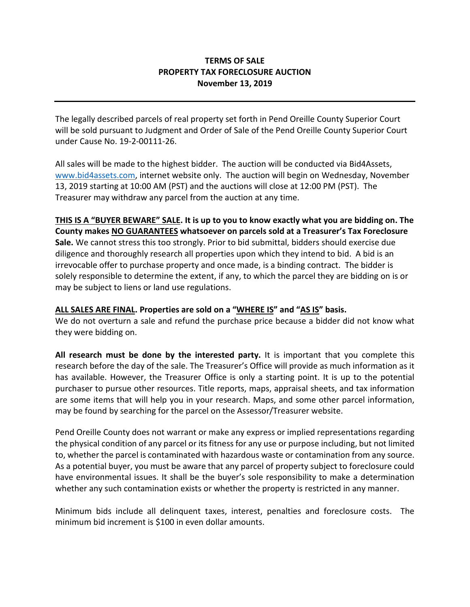## **TERMS OF SALE PROPERTY TAX FORECLOSURE AUCTION November 13, 2019**

The legally described parcels of real property set forth in Pend Oreille County Superior Court will be sold pursuant to Judgment and Order of Sale of the Pend Oreille County Superior Court under Cause No. 19-2-00111-26.

All sales will be made to the highest bidder. The auction will be conducted via Bid4Assets, [www.bid4assets.com,](http://www.bid4assets.com/) internet website only. The auction will begin on Wednesday, November 13, 2019 starting at 10:00 AM (PST) and the auctions will close at 12:00 PM (PST). The Treasurer may withdraw any parcel from the auction at any time.

**THIS IS A "BUYER BEWARE" SALE. It is up to you to know exactly what you are bidding on. The County makes NO GUARANTEES whatsoever on parcels sold at a Treasurer's Tax Foreclosure Sale.** We cannot stress this too strongly. Prior to bid submittal, bidders should exercise due diligence and thoroughly research all properties upon which they intend to bid. A bid is an irrevocable offer to purchase property and once made, is a binding contract. The bidder is solely responsible to determine the extent, if any, to which the parcel they are bidding on is or may be subject to liens or land use regulations.

## **ALL SALES ARE FINAL. Properties are sold on a "WHERE IS" and "AS IS" basis.**

We do not overturn a sale and refund the purchase price because a bidder did not know what they were bidding on.

**All research must be done by the interested party.** It is important that you complete this research before the day of the sale. The Treasurer's Office will provide as much information as it has available. However, the Treasurer Office is only a starting point. It is up to the potential purchaser to pursue other resources. Title reports, maps, appraisal sheets, and tax information are some items that will help you in your research. Maps, and some other parcel information, may be found by searching for the parcel on the Assessor/Treasurer website.

Pend Oreille County does not warrant or make any express or implied representations regarding the physical condition of any parcel or its fitness for any use or purpose including, but not limited to, whether the parcel is contaminated with hazardous waste or contamination from any source. As a potential buyer, you must be aware that any parcel of property subject to foreclosure could have environmental issues. It shall be the buyer's sole responsibility to make a determination whether any such contamination exists or whether the property is restricted in any manner.

Minimum bids include all delinquent taxes, interest, penalties and foreclosure costs. The minimum bid increment is \$100 in even dollar amounts.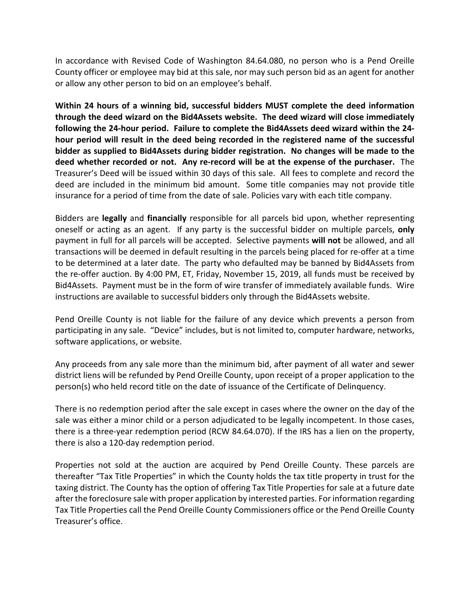In accordance with Revised Code of Washington 84.64.080, no person who is a Pend Oreille County officer or employee may bid at this sale, nor may such person bid as an agent for another or allow any other person to bid on an employee's behalf.

**Within 24 hours of a winning bid, successful bidders MUST complete the deed information through the deed wizard on the Bid4Assets website. The deed wizard will close immediately following the 24-hour period. Failure to complete the Bid4Assets deed wizard within the 24 hour period will result in the deed being recorded in the registered name of the successful bidder as supplied to Bid4Assets during bidder registration. No changes will be made to the deed whether recorded or not. Any re-record will be at the expense of the purchaser.** The Treasurer's Deed will be issued within 30 days of this sale. All fees to complete and record the deed are included in the minimum bid amount. Some title companies may not provide title insurance for a period of time from the date of sale. Policies vary with each title company.

Bidders are **legally** and **financially** responsible for all parcels bid upon, whether representing oneself or acting as an agent. If any party is the successful bidder on multiple parcels, **only**  payment in full for all parcels will be accepted. Selective payments **will not** be allowed, and all transactions will be deemed in default resulting in the parcels being placed for re-offer at a time to be determined at a later date. The party who defaulted may be banned by Bid4Assets from the re-offer auction. By 4:00 PM, ET, Friday, November 15, 2019, all funds must be received by Bid4Assets. Payment must be in the form of wire transfer of immediately available funds. Wire instructions are available to successful bidders only through the Bid4Assets website.

Pend Oreille County is not liable for the failure of any device which prevents a person from participating in any sale. "Device" includes, but is not limited to, computer hardware, networks, software applications, or website.

Any proceeds from any sale more than the minimum bid, after payment of all water and sewer district liens will be refunded by Pend Oreille County, upon receipt of a proper application to the person(s) who held record title on the date of issuance of the Certificate of Delinquency.

There is no redemption period after the sale except in cases where the owner on the day of the sale was either a minor child or a person adjudicated to be legally incompetent. In those cases, there is a three-year redemption period (RCW 84.64.070). If the IRS has a lien on the property, there is also a 120-day redemption period.

Properties not sold at the auction are acquired by Pend Oreille County. These parcels are thereafter "Tax Title Properties" in which the County holds the tax title property in trust for the taxing district. The County has the option of offering Tax Title Properties for sale at a future date after the foreclosure sale with proper application by interested parties. For information regarding Tax Title Properties call the Pend Oreille County Commissioners office or the Pend Oreille County Treasurer's office.